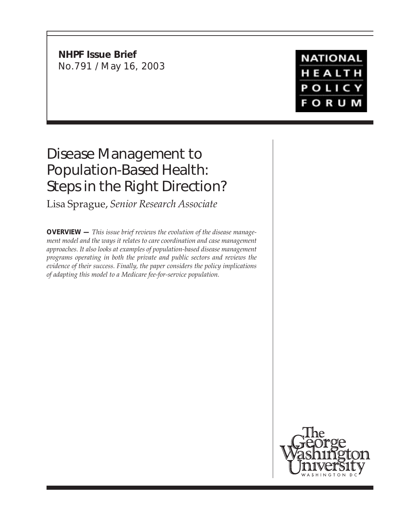**NHPF Issue Brief** No.791 / May 16, 2003

# **NATIONAL** HEALTH POLICY **FORUM**

# Disease Management to Population-Based Health: Steps in the Right Direction?

Lisa Sprague, *Senior Research Associate*

**OVERVIEW —** *This issue brief reviews the evolution of the disease management model and the ways it relates to care coordination and case management approaches. It also looks at examples of population-based disease management programs operating in both the private and public sectors and reviews the evidence of their success. Finally, the paper considers the policy implications of adapting this model to a Medicare fee-for-service population.*

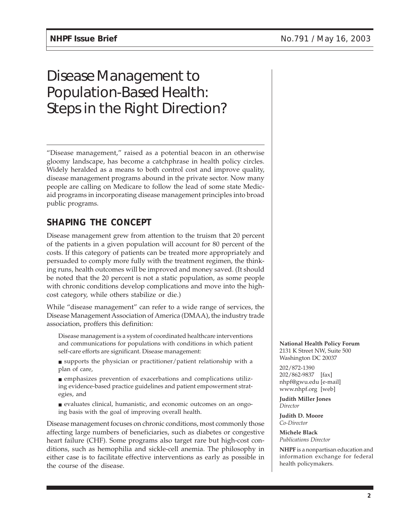# Disease Management to Population-Based Health: Steps in the Right Direction?

"Disease management," raised as a potential beacon in an otherwise gloomy landscape, has become a catchphrase in health policy circles. Widely heralded as a means to both control cost and improve quality, disease management programs abound in the private sector. Now many people are calling on Medicare to follow the lead of some state Medicaid programs in incorporating disease management principles into broad public programs.

## **SHAPING THE CONCEPT**

Disease management grew from attention to the truism that 20 percent of the patients in a given population will account for 80 percent of the costs. If this category of patients can be treated more appropriately and persuaded to comply more fully with the treatment regimen, the thinking runs, health outcomes will be improved and money saved. (It should be noted that the 20 percent is not a static population, as some people with chronic conditions develop complications and move into the highcost category, while others stabilize or die.)

While "disease management" can refer to a wide range of services, the Disease Management Association of America (DMAA), the industry trade association, proffers this definition:

Disease management is a system of coordinated healthcare interventions and communications for populations with conditions in which patient self-care efforts are significant. Disease management:

■ supports the physician or practitioner/patient relationship with a plan of care,

■ emphasizes prevention of exacerbations and complications utilizing evidence-based practice guidelines and patient empowerment strategies, and

■ evaluates clinical, humanistic, and economic outcomes on an ongoing basis with the goal of improving overall health.

Disease management focuses on chronic conditions, most commonly those affecting large numbers of beneficiaries, such as diabetes or congestive heart failure (CHF). Some programs also target rare but high-cost conditions, such as hemophilia and sickle-cell anemia. The philosophy in either case is to facilitate effective interventions as early as possible in the course of the disease.

**National Health Policy Forum** 2131 K Street NW, Suite 500 Washington DC 20037

202/872-1390 202/862-9837 [fax] nhpf@gwu.edu [e-mail] www.nhpf.org [web]

**Judith Miller Jones** *Director*

**Judith D. Moore** *Co-Director*

**Michele Black** *Publications Director*

**NHPF** is a nonpartisan education and information exchange for federal health policymakers.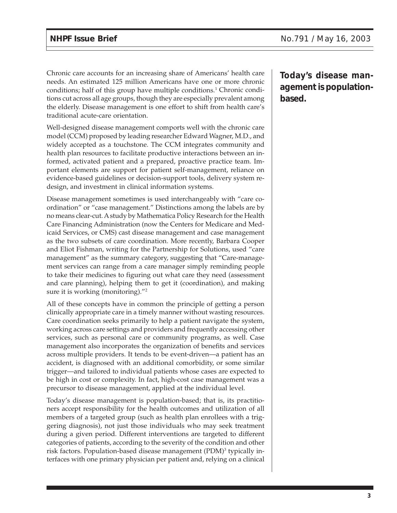Chronic care accounts for an increasing share of Americans' health care needs. An estimated 125 million Americans have one or more chronic conditions; half of this group have multiple conditions.<sup>1</sup> Chronic conditions cut across all age groups, though they are especially prevalent among the elderly. Disease management is one effort to shift from health care's traditional acute-care orientation.

Well-designed disease management comports well with the chronic care model (CCM) proposed by leading researcher Edward Wagner, M.D., and widely accepted as a touchstone. The CCM integrates community and health plan resources to facilitate productive interactions between an informed, activated patient and a prepared, proactive practice team. Important elements are support for patient self-management, reliance on evidence-based guidelines or decision-support tools, delivery system redesign, and investment in clinical information systems.

Disease management sometimes is used interchangeably with "care coordination" or "case management." Distinctions among the labels are by no means clear-cut. A study by Mathematica Policy Research for the Health Care Financing Administration (now the Centers for Medicare and Medicaid Services, or CMS) cast disease management and case management as the two subsets of care coordination. More recently, Barbara Cooper and Eliot Fishman, writing for the Partnership for Solutions, used "care management" as the summary category, suggesting that "Care-management services can range from a care manager simply reminding people to take their medicines to figuring out what care they need (assessment and care planning), helping them to get it (coordination), and making sure it is working (monitoring)."2

All of these concepts have in common the principle of getting a person clinically appropriate care in a timely manner without wasting resources. Care coordination seeks primarily to help a patient navigate the system, working across care settings and providers and frequently accessing other services, such as personal care or community programs, as well. Case management also incorporates the organization of benefits and services across multiple providers. It tends to be event-driven—a patient has an accident, is diagnosed with an additional comorbidity, or some similar trigger—and tailored to individual patients whose cases are expected to be high in cost or complexity. In fact, high-cost case management was a precursor to disease management, applied at the individual level.

Today's disease management is population-based; that is, its practitioners accept responsibility for the health outcomes and utilization of all members of a targeted group (such as health plan enrollees with a triggering diagnosis), not just those individuals who may seek treatment during a given period. Different interventions are targeted to different categories of patients, according to the severity of the condition and other risk factors. Population-based disease management (PDM)<sup>3</sup> typically interfaces with one primary physician per patient and, relying on a clinical

**Today's disease management is populationbased.**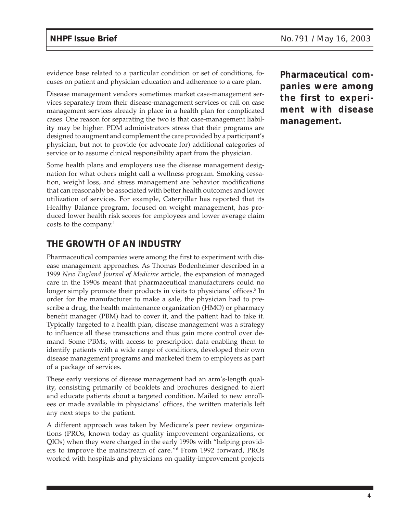evidence base related to a particular condition or set of conditions, focuses on patient and physician education and adherence to a care plan.

Disease management vendors sometimes market case-management services separately from their disease-management services or call on case management services already in place in a health plan for complicated cases. One reason for separating the two is that case-management liability may be higher. PDM administrators stress that their programs are designed to augment and complement the care provided by a participant's physician, but not to provide (or advocate for) additional categories of service or to assume clinical responsibility apart from the physician.

Some health plans and employers use the disease management designation for what others might call a wellness program. Smoking cessation, weight loss, and stress management are behavior modifications that can reasonably be associated with better health outcomes and lower utilization of services. For example, Caterpillar has reported that its Healthy Balance program, focused on weight management, has produced lower health risk scores for employees and lower average claim costs to the company.4

## **THE GROWTH OF AN INDUSTRY**

Pharmaceutical companies were among the first to experiment with disease management approaches. As Thomas Bodenheimer described in a 1999 *New England Journal of Medicine* article, the expansion of managed care in the 1990s meant that pharmaceutical manufacturers could no longer simply promote their products in visits to physicians' offices.<sup>5</sup> In order for the manufacturer to make a sale, the physician had to prescribe a drug, the health maintenance organization (HMO) or pharmacy benefit manager (PBM) had to cover it, and the patient had to take it. Typically targeted to a health plan, disease management was a strategy to influence all these transactions and thus gain more control over demand. Some PBMs, with access to prescription data enabling them to identify patients with a wide range of conditions, developed their own disease management programs and marketed them to employers as part of a package of services.

These early versions of disease management had an arm's-length quality, consisting primarily of booklets and brochures designed to alert and educate patients about a targeted condition. Mailed to new enrollees or made available in physicians' offices, the written materials left any next steps to the patient.

A different approach was taken by Medicare's peer review organizations (PROs, known today as quality improvement organizations, or QIOs) when they were charged in the early 1990s with "helping providers to improve the mainstream of care."6 From 1992 forward, PROs worked with hospitals and physicians on quality-improvement projects **Pharmaceutical companies were among the first to experiment with disease management.**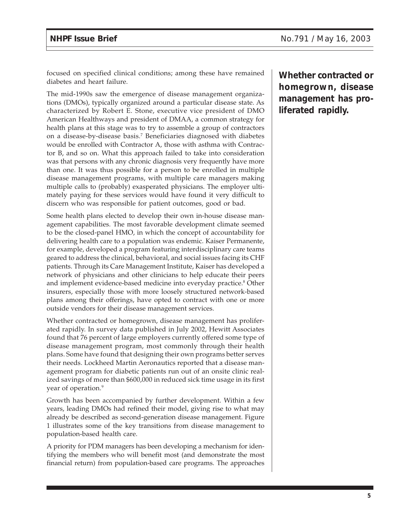focused on specified clinical conditions; among these have remained diabetes and heart failure.

The mid-1990s saw the emergence of disease management organizations (DMOs), typically organized around a particular disease state. As characterized by Robert E. Stone, executive vice president of DMO American Healthways and president of DMAA, a common strategy for health plans at this stage was to try to assemble a group of contractors on a disease-by-disease basis.7 Beneficiaries diagnosed with diabetes would be enrolled with Contractor A, those with asthma with Contractor B, and so on. What this approach failed to take into consideration was that persons with any chronic diagnosis very frequently have more than one. It was thus possible for a person to be enrolled in multiple disease management programs, with multiple care managers making multiple calls to (probably) exasperated physicians. The employer ultimately paying for these services would have found it very difficult to discern who was responsible for patient outcomes, good or bad.

Some health plans elected to develop their own in-house disease management capabilities. The most favorable development climate seemed to be the closed-panel HMO, in which the concept of accountability for delivering health care to a population was endemic. Kaiser Permanente, for example, developed a program featuring interdisciplinary care teams geared to address the clinical, behavioral, and social issues facing its CHF patients. Through its Care Management Institute, Kaiser has developed a network of physicians and other clinicians to help educate their peers and implement evidence-based medicine into everyday practice.<sup>8</sup> Other insurers, especially those with more loosely structured network-based plans among their offerings, have opted to contract with one or more outside vendors for their disease management services.

Whether contracted or homegrown, disease management has proliferated rapidly. In survey data published in July 2002, Hewitt Associates found that 76 percent of large employers currently offered some type of disease management program, most commonly through their health plans. Some have found that designing their own programs better serves their needs. Lockheed Martin Aeronautics reported that a disease management program for diabetic patients run out of an onsite clinic realized savings of more than \$600,000 in reduced sick time usage in its first year of operation.<sup>9</sup>

Growth has been accompanied by further development. Within a few years, leading DMOs had refined their model, giving rise to what may already be described as second-generation disease management. Figure 1 illustrates some of the key transitions from disease management to population-based health care.

A priority for PDM managers has been developing a mechanism for identifying the members who will benefit most (and demonstrate the most financial return) from population-based care programs. The approaches

**Whether contracted or homegrown, disease management has proliferated rapidly.**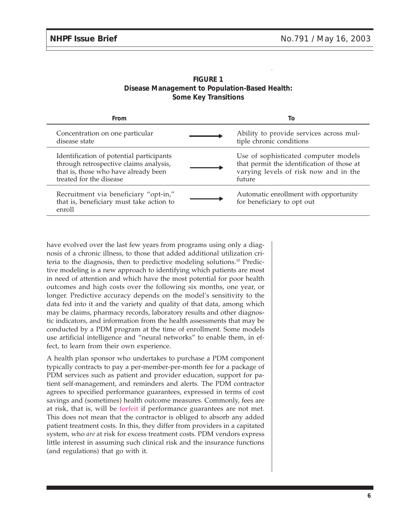| <b>FIGURE 1</b>                                |  |  |
|------------------------------------------------|--|--|
| Disease Management to Population-Based Health: |  |  |
| <b>Some Key Transitions</b>                    |  |  |

| From                                                                                                                                                  | To                                                                                                                                    |
|-------------------------------------------------------------------------------------------------------------------------------------------------------|---------------------------------------------------------------------------------------------------------------------------------------|
| Concentration on one particular<br>disease state                                                                                                      | Ability to provide services across mul-<br>tiple chronic conditions                                                                   |
| Identification of potential participants<br>through retrospective claims analysis,<br>that is, those who have already been<br>treated for the disease | Use of sophisticated computer models<br>that permit the identification of those at<br>varying levels of risk now and in the<br>future |
| Recruitment via beneficiary "opt-in,"<br>that is, beneficiary must take action to<br>enroll                                                           | Automatic enrollment with opportunity<br>for beneficiary to opt out                                                                   |

have evolved over the last few years from programs using only a diagnosis of a chronic illness, to those that added additional utilization criteria to the diagnosis, then to predictive modeling solutions.10 Predictive modeling is a new approach to identifying which patients are most in need of attention and which have the most potential for poor health outcomes and high costs over the following six months, one year, or longer. Predictive accuracy depends on the model's sensitivity to the data fed into it and the variety and quality of that data, among which may be claims, pharmacy records, laboratory results and other diagnostic indicators, and information from the health assessments that may be conducted by a PDM program at the time of enrollment. Some models use artificial intelligence and "neural networks" to enable them, in effect, to learn from their own experience.

A health plan sponsor who undertakes to purchase a PDM component typically contracts to pay a per-member-per-month fee for a package of PDM services such as patient and provider education, support for patient self-management, and reminders and alerts. The PDM contractor agrees to specified performance guarantees, expressed in terms of cost savings and (sometimes) health outcome measures. Commonly, fees are at risk, that is, will be forfeit if performance guarantees are not met. This does not mean that the contractor is obliged to absorb any added patient treatment costs. In this, they differ from providers in a capitated system, who *are* at risk for excess treatment costs. PDM vendors express little interest in assuming such clinical risk and the insurance functions (and regulations) that go with it.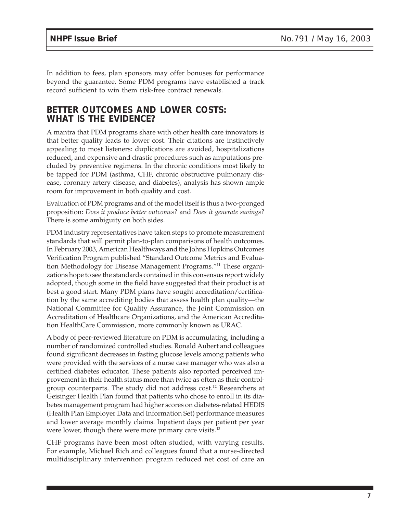In addition to fees, plan sponsors may offer bonuses for performance beyond the guarantee. Some PDM programs have established a track record sufficient to win them risk-free contract renewals.

### **BETTER OUTCOMES AND LOWER COSTS: WHAT IS THE EVIDENCE?**

A mantra that PDM programs share with other health care innovators is that better quality leads to lower cost. Their citations are instinctively appealing to most listeners: duplications are avoided, hospitalizations reduced, and expensive and drastic procedures such as amputations precluded by preventive regimens. In the chronic conditions most likely to be tapped for PDM (asthma, CHF, chronic obstructive pulmonary disease, coronary artery disease, and diabetes), analysis has shown ample room for improvement in both quality and cost.

Evaluation of PDM programs and of the model itself is thus a two-pronged proposition: *Does it produce better outcomes?* and *Does it generate savings?* There is some ambiguity on both sides.

PDM industry representatives have taken steps to promote measurement standards that will permit plan-to-plan comparisons of health outcomes. In February 2003, American Healthways and the Johns Hopkins Outcomes Verification Program published "Standard Outcome Metrics and Evaluation Methodology for Disease Management Programs."11 These organizations hope to see the standards contained in this consensus report widely adopted, though some in the field have suggested that their product is at best a good start. Many PDM plans have sought accreditation/certification by the same accrediting bodies that assess health plan quality—the National Committee for Quality Assurance, the Joint Commission on Accreditation of Healthcare Organizations, and the American Accreditation HealthCare Commission, more commonly known as URAC.

A body of peer-reviewed literature on PDM is accumulating, including a number of randomized controlled studies. Ronald Aubert and colleagues found significant decreases in fasting glucose levels among patients who were provided with the services of a nurse case manager who was also a certified diabetes educator. These patients also reported perceived improvement in their health status more than twice as often as their controlgroup counterparts. The study did not address cost.<sup>12</sup> Researchers at Geisinger Health Plan found that patients who chose to enroll in its diabetes management program had higher scores on diabetes-related HEDIS (Health Plan Employer Data and Information Set) performance measures and lower average monthly claims. Inpatient days per patient per year were lower, though there were more primary care visits.<sup>13</sup>

CHF programs have been most often studied, with varying results. For example, Michael Rich and colleagues found that a nurse-directed multidisciplinary intervention program reduced net cost of care an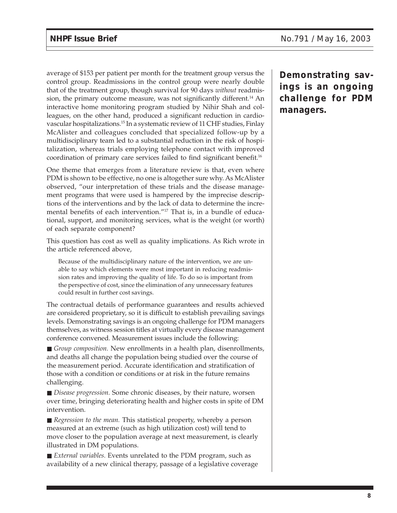average of \$153 per patient per month for the treatment group versus the control group. Readmissions in the control group were nearly double that of the treatment group, though survival for 90 days *without* readmission, the primary outcome measure, was not significantly different.<sup>14</sup> An interactive home monitoring program studied by Nihir Shah and colleagues, on the other hand, produced a significant reduction in cardiovascular hospitalizations.15 In a systematic review of 11 CHF studies, Finlay McAlister and colleagues concluded that specialized follow-up by a multidisciplinary team led to a substantial reduction in the risk of hospitalization, whereas trials employing telephone contact with improved coordination of primary care services failed to find significant benefit.16

One theme that emerges from a literature review is that, even where PDM is shown to be effective, no one is altogether sure why. As McAlister observed, "our interpretation of these trials and the disease management programs that were used is hampered by the imprecise descriptions of the interventions and by the lack of data to determine the incremental benefits of each intervention."17 That is, in a bundle of educational, support, and monitoring services, what is the weight (or worth) of each separate component?

This question has cost as well as quality implications. As Rich wrote in the article referenced above,

Because of the multidisciplinary nature of the intervention, we are unable to say which elements were most important in reducing readmission rates and improving the quality of life. To do so is important from the perspective of cost, since the elimination of any unnecessary features could result in further cost savings.

The contractual details of performance guarantees and results achieved are considered proprietary, so it is difficult to establish prevailing savings levels. Demonstrating savings is an ongoing challenge for PDM managers themselves, as witness session titles at virtually every disease management conference convened. Measurement issues include the following:

■ *Group composition*. New enrollments in a health plan, disenrollments, and deaths all change the population being studied over the course of the measurement period. Accurate identification and stratification of those with a condition or conditions or at risk in the future remains challenging.

■ *Disease progression*. Some chronic diseases, by their nature, worsen over time, bringing deteriorating health and higher costs in spite of DM intervention.

■ *Regression to the mean*. This statistical property, whereby a person measured at an extreme (such as high utilization cost) will tend to move closer to the population average at next measurement, is clearly illustrated in DM populations.

■ *External variables*. Events unrelated to the PDM program, such as availability of a new clinical therapy, passage of a legislative coverage

**Demonstrating savings is an ongoing challenge for PDM managers.**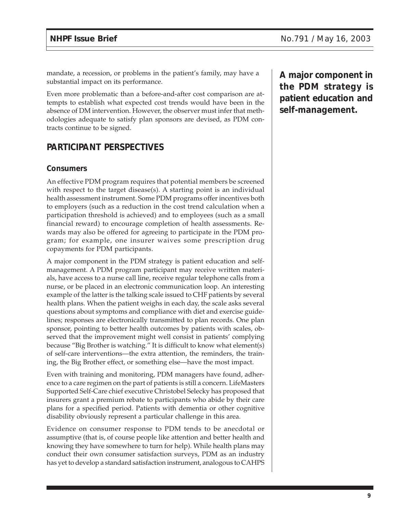mandate, a recession, or problems in the patient's family, may have a substantial impact on its performance.

Even more problematic than a before-and-after cost comparison are attempts to establish what expected cost trends would have been in the absence of DM intervention. However, the observer must infer that methodologies adequate to satisfy plan sponsors are devised, as PDM contracts continue to be signed.

### **PARTICIPANT PERSPECTIVES**

#### **Consumers**

An effective PDM program requires that potential members be screened with respect to the target disease(s). A starting point is an individual health assessment instrument. Some PDM programs offer incentives both to employers (such as a reduction in the cost trend calculation when a participation threshold is achieved) and to employees (such as a small financial reward) to encourage completion of health assessments. Rewards may also be offered for agreeing to participate in the PDM program; for example, one insurer waives some prescription drug copayments for PDM participants.

A major component in the PDM strategy is patient education and selfmanagement. A PDM program participant may receive written materials, have access to a nurse call line, receive regular telephone calls from a nurse, or be placed in an electronic communication loop. An interesting example of the latter is the talking scale issued to CHF patients by several health plans. When the patient weighs in each day, the scale asks several questions about symptoms and compliance with diet and exercise guidelines; responses are electronically transmitted to plan records. One plan sponsor, pointing to better health outcomes by patients with scales, observed that the improvement might well consist in patients' complying because "Big Brother is watching." It is difficult to know what element(s) of self-care interventions—the extra attention, the reminders, the training, the Big Brother effect, or something else—have the most impact.

Even with training and monitoring, PDM managers have found, adherence to a care regimen on the part of patients is still a concern. LifeMasters Supported Self-Care chief executive Christobel Selecky has proposed that insurers grant a premium rebate to participants who abide by their care plans for a specified period. Patients with dementia or other cognitive disability obviously represent a particular challenge in this area.

Evidence on consumer response to PDM tends to be anecdotal or assumptive (that is, of course people like attention and better health and knowing they have somewhere to turn for help). While health plans may conduct their own consumer satisfaction surveys, PDM as an industry has yet to develop a standard satisfaction instrument, analogous to CAHPS

**A major component in the PDM strategy is patient education and self-management.**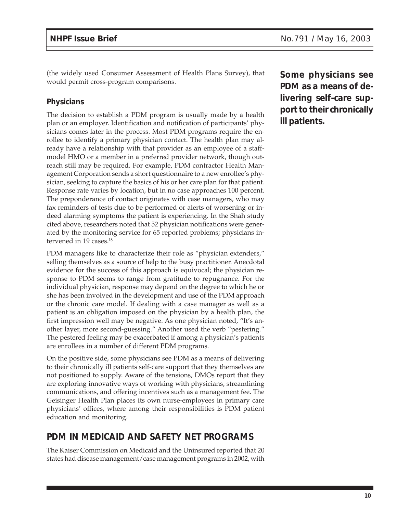(the widely used Consumer Assessment of Health Plans Survey), that would permit cross-program comparisons.

### **Physicians**

The decision to establish a PDM program is usually made by a health plan or an employer. Identification and notification of participants' physicians comes later in the process. Most PDM programs require the enrollee to identify a primary physician contact. The health plan may already have a relationship with that provider as an employee of a staffmodel HMO or a member in a preferred provider network, though outreach still may be required. For example, PDM contractor Health Management Corporation sends a short questionnaire to a new enrollee's physician, seeking to capture the basics of his or her care plan for that patient. Response rate varies by location, but in no case approaches 100 percent. The preponderance of contact originates with case managers, who may fax reminders of tests due to be performed or alerts of worsening or indeed alarming symptoms the patient is experiencing. In the Shah study cited above, researchers noted that 52 physician notifications were generated by the monitoring service for 65 reported problems; physicians intervened in 19 cases.<sup>18</sup>

PDM managers like to characterize their role as "physician extenders," selling themselves as a source of help to the busy practitioner. Anecdotal evidence for the success of this approach is equivocal; the physician response to PDM seems to range from gratitude to repugnance. For the individual physician, response may depend on the degree to which he or she has been involved in the development and use of the PDM approach or the chronic care model. If dealing with a case manager as well as a patient is an obligation imposed on the physician by a health plan, the first impression well may be negative. As one physician noted, "It's another layer, more second-guessing." Another used the verb "pestering." The pestered feeling may be exacerbated if among a physician's patients are enrollees in a number of different PDM programs.

On the positive side, some physicians see PDM as a means of delivering to their chronically ill patients self-care support that they themselves are not positioned to supply. Aware of the tensions, DMOs report that they are exploring innovative ways of working with physicians, streamlining communications, and offering incentives such as a management fee. The Geisinger Health Plan places its own nurse-employees in primary care physicians' offices, where among their responsibilities is PDM patient education and monitoring.

## **PDM IN MEDICAID AND SAFETY NET PROGRAMS**

The Kaiser Commission on Medicaid and the Uninsured reported that 20 states had disease management/case management programs in 2002, with **Some physicians see PDM as a means of delivering self-care support to their chronically ill patients.**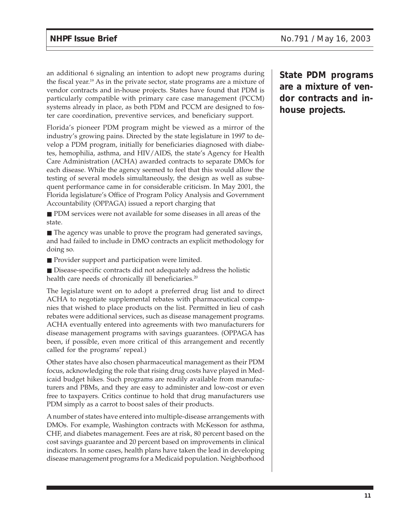an additional 6 signaling an intention to adopt new programs during the fiscal year.<sup>19</sup> As in the private sector, state programs are a mixture of vendor contracts and in-house projects. States have found that PDM is particularly compatible with primary care case management (PCCM) systems already in place, as both PDM and PCCM are designed to foster care coordination, preventive services, and beneficiary support.

Florida's pioneer PDM program might be viewed as a mirror of the industry's growing pains. Directed by the state legislature in 1997 to develop a PDM program, initially for beneficiaries diagnosed with diabetes, hemophilia, asthma, and HIV/AIDS, the state's Agency for Health Care Administration (ACHA) awarded contracts to separate DMOs for each disease. While the agency seemed to feel that this would allow the testing of several models simultaneously, the design as well as subsequent performance came in for considerable criticism. In May 2001, the Florida legislature's Office of Program Policy Analysis and Government Accountability (OPPAGA) issued a report charging that

■ PDM services were not available for some diseases in all areas of the state.

■ The agency was unable to prove the program had generated savings, and had failed to include in DMO contracts an explicit methodology for doing so.

■ Provider support and participation were limited.

■ Disease-specific contracts did not adequately address the holistic health care needs of chronically ill beneficiaries.<sup>20</sup>

The legislature went on to adopt a preferred drug list and to direct ACHA to negotiate supplemental rebates with pharmaceutical companies that wished to place products on the list. Permitted in lieu of cash rebates were additional services, such as disease management programs. ACHA eventually entered into agreements with two manufacturers for disease management programs with savings guarantees. (OPPAGA has been, if possible, even more critical of this arrangement and recently called for the programs' repeal.)

Other states have also chosen pharmaceutical management as their PDM focus, acknowledging the role that rising drug costs have played in Medicaid budget hikes. Such programs are readily available from manufacturers and PBMs, and they are easy to administer and low-cost or even free to taxpayers. Critics continue to hold that drug manufacturers use PDM simply as a carrot to boost sales of their products.

A number of states have entered into multiple-disease arrangements with DMOs. For example, Washington contracts with McKesson for asthma, CHF, and diabetes management. Fees are at risk, 80 percent based on the cost savings guarantee and 20 percent based on improvements in clinical indicators. In some cases, health plans have taken the lead in developing disease management programs for a Medicaid population. Neighborhood **State PDM programs are a mixture of vendor contracts and inhouse projects.**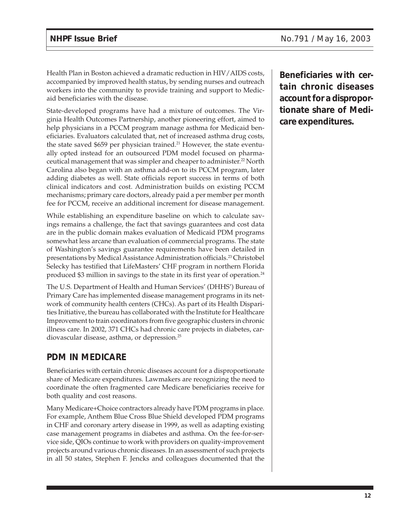Health Plan in Boston achieved a dramatic reduction in HIV/AIDS costs, accompanied by improved health status, by sending nurses and outreach workers into the community to provide training and support to Medicaid beneficiaries with the disease.

State-developed programs have had a mixture of outcomes. The Virginia Health Outcomes Partnership, another pioneering effort, aimed to help physicians in a PCCM program manage asthma for Medicaid beneficiaries. Evaluators calculated that, net of increased asthma drug costs, the state saved \$659 per physician trained.<sup>21</sup> However, the state eventually opted instead for an outsourced PDM model focused on pharmaceutical management that was simpler and cheaper to administer.<sup>22</sup> North Carolina also began with an asthma add-on to its PCCM program, later adding diabetes as well. State officials report success in terms of both clinical indicators and cost. Administration builds on existing PCCM mechanisms; primary care doctors, already paid a per member per month fee for PCCM, receive an additional increment for disease management.

While establishing an expenditure baseline on which to calculate savings remains a challenge, the fact that savings guarantees and cost data are in the public domain makes evaluation of Medicaid PDM programs somewhat less arcane than evaluation of commercial programs. The state of Washington's savings guarantee requirements have been detailed in presentations by Medical Assistance Administration officials.23 Christobel Selecky has testified that LifeMasters' CHF program in northern Florida produced \$3 million in savings to the state in its first year of operation.24

The U.S. Department of Health and Human Services' (DHHS') Bureau of Primary Care has implemented disease management programs in its network of community health centers (CHCs). As part of its Health Disparities Initiative, the bureau has collaborated with the Institute for Healthcare Improvement to train coordinators from five geographic clusters in chronic illness care. In 2002, 371 CHCs had chronic care projects in diabetes, cardiovascular disease, asthma, or depression.25

## **PDM IN MEDICARE**

Beneficiaries with certain chronic diseases account for a disproportionate share of Medicare expenditures. Lawmakers are recognizing the need to coordinate the often fragmented care Medicare beneficiaries receive for both quality and cost reasons.

Many Medicare+Choice contractors already have PDM programs in place. For example, Anthem Blue Cross Blue Shield developed PDM programs in CHF and coronary artery disease in 1999, as well as adapting existing case management programs in diabetes and asthma. On the fee-for-service side, QIOs continue to work with providers on quality-improvement projects around various chronic diseases. In an assessment of such projects in all 50 states, Stephen F. Jencks and colleagues documented that the **Beneficiaries with certain chronic diseases account for a disproportionate share of Medicare expenditures.**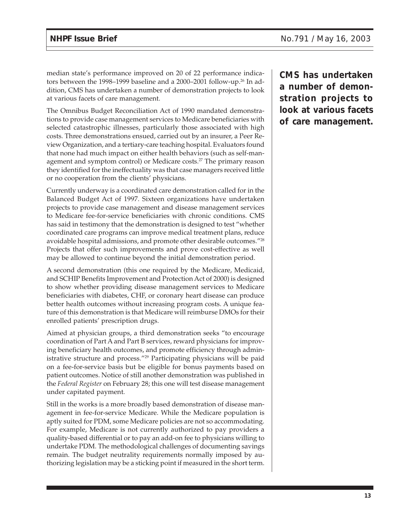median state's performance improved on 20 of 22 performance indicators between the 1998–1999 baseline and a 2000–2001 follow-up.26 In addition, CMS has undertaken a number of demonstration projects to look at various facets of care management.

The Omnibus Budget Reconciliation Act of 1990 mandated demonstrations to provide case management services to Medicare beneficiaries with selected catastrophic illnesses, particularly those associated with high costs. Three demonstrations ensued, carried out by an insurer, a Peer Review Organization, and a tertiary-care teaching hospital. Evaluators found that none had much impact on either health behaviors (such as self-management and symptom control) or Medicare costs.<sup>27</sup> The primary reason they identified for the ineffectuality was that case managers received little or no cooperation from the clients' physicians.

Currently underway is a coordinated care demonstration called for in the Balanced Budget Act of 1997. Sixteen organizations have undertaken projects to provide case management and disease management services to Medicare fee-for-service beneficiaries with chronic conditions. CMS has said in testimony that the demonstration is designed to test "whether coordinated care programs can improve medical treatment plans, reduce avoidable hospital admissions, and promote other desirable outcomes."28 Projects that offer such improvements and prove cost-effective as well may be allowed to continue beyond the initial demonstration period.

A second demonstration (this one required by the Medicare, Medicaid, and SCHIP Benefits Improvement and Protection Act of 2000) is designed to show whether providing disease management services to Medicare beneficiaries with diabetes, CHF, or coronary heart disease can produce better health outcomes without increasing program costs. A unique feature of this demonstration is that Medicare will reimburse DMOs for their enrolled patients' prescription drugs.

Aimed at physician groups, a third demonstration seeks "to encourage coordination of Part A and Part B services, reward physicians for improving beneficiary health outcomes, and promote efficiency through administrative structure and process."29 Participating physicians will be paid on a fee-for-service basis but be eligible for bonus payments based on patient outcomes. Notice of still another demonstration was published in the *Federal Register* on February 28; this one will test disease management under capitated payment.

Still in the works is a more broadly based demonstration of disease management in fee-for-service Medicare. While the Medicare population is aptly suited for PDM, some Medicare policies are not so accommodating. For example, Medicare is not currently authorized to pay providers a quality-based differential or to pay an add-on fee to physicians willing to undertake PDM. The methodological challenges of documenting savings remain. The budget neutrality requirements normally imposed by authorizing legislation may be a sticking point if measured in the short term.

**CMS has undertaken a number of demonstration projects to look at various facets of care management.**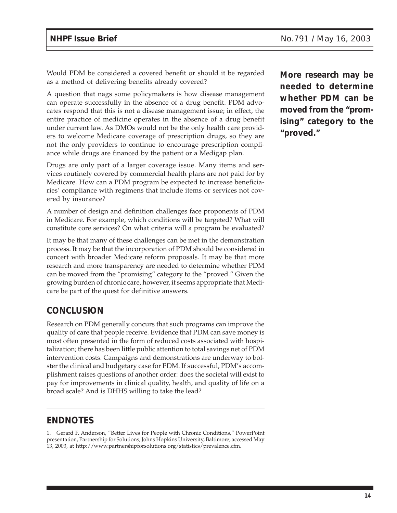Would PDM be considered a covered benefit or should it be regarded as a method of delivering benefits already covered?

A question that nags some policymakers is how disease management can operate successfully in the absence of a drug benefit. PDM advocates respond that this is not a disease management issue; in effect, the entire practice of medicine operates in the absence of a drug benefit under current law. As DMOs would not be the only health care providers to welcome Medicare coverage of prescription drugs, so they are not the only providers to continue to encourage prescription compliance while drugs are financed by the patient or a Medigap plan.

Drugs are only part of a larger coverage issue. Many items and services routinely covered by commercial health plans are not paid for by Medicare. How can a PDM program be expected to increase beneficiaries' compliance with regimens that include items or services not covered by insurance?

A number of design and definition challenges face proponents of PDM in Medicare. For example, which conditions will be targeted? What will constitute core services? On what criteria will a program be evaluated?

It may be that many of these challenges can be met in the demonstration process. It may be that the incorporation of PDM should be considered in concert with broader Medicare reform proposals. It may be that more research and more transparency are needed to determine whether PDM can be moved from the "promising" category to the "proved." Given the growing burden of chronic care, however, it seems appropriate that Medicare be part of the quest for definitive answers.

## **CONCLUSION**

Research on PDM generally concurs that such programs can improve the quality of care that people receive. Evidence that PDM can save money is most often presented in the form of reduced costs associated with hospitalization; there has been little public attention to total savings net of PDM intervention costs. Campaigns and demonstrations are underway to bolster the clinical and budgetary case for PDM. If successful, PDM's accomplishment raises questions of another order: does the societal will exist to pay for improvements in clinical quality, health, and quality of life on a broad scale? And is DHHS willing to take the lead?

## **ENDNOTES**

1. Gerard F. Anderson, "Better Lives for People with Chronic Conditions," PowerPoint presentation, Partnership for Solutions, Johns Hopkins University, Baltimore; accessed May 13, 2003, at http://www.partnershipforsolutions.org/statistics/prevalence.cfm.

**More research may be needed to determine whether PDM can be moved from the "promising" category to the "proved."**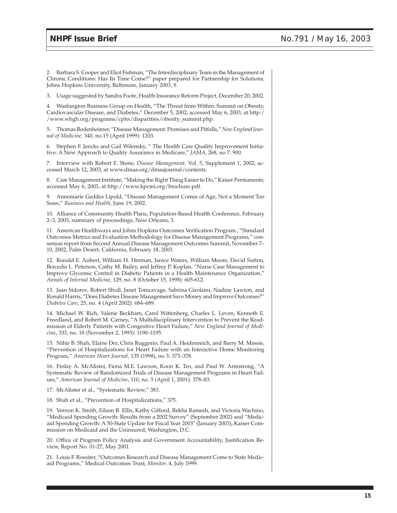2. Barbara S. Cooper and Eliot Fishman, "The Interdisciplinary Team in the Management of Chronic Conditions: Has Its Time Come?" paper prepared for Partnership for Solutions, Johns Hopkins University, Baltimore, January 2003, 9.

3. Usage suggested by Sandra Foote, Health Insurance Reform Project, December 20, 2002.

4. Washington Business Group on Health, "The Threat from Within: Summit on Obesity, Cardiovascular Disease, and Diabetes," December 5, 2002; accessed May 6, 2003, at http:/ /www.wbgh.org/programs/cphs/disparities/obesity\_summit.php.

5. Thomas Bodenheimer, "Disease Management: Promises and Pitfalls," *New England Journal of Medicine,* 340, no.15 (April 1999): 1203.

6. Stephen F. Jencks and Gail Wilensky, " The Health Care Quality Improvement Initiative: A New Approach to Quality Assurance in Medicare," *JAMA,* 268, no 7: 900.

7. Interview with Robert E. Stone, *Disease Management,* Vol. 5, Supplement 1, 2002; accessed March 12, 2003, at www.dmaa.org/dmaajournal/contents.

8. Care Management Institute, "Making the Right Thing Easier to Do," Kaiser Permanente; accessed May 6, 2003, at http://www.kpcmi.org/brochure.pdf.

9. Annemarie Geddes Lipold, "Disease Management Comes of Age, Not a Moment Too Soon," *Business and Health,* June 19, 2002.

10. Alliance of Community Health Plans, Population-Based Health Conference, February 2–3, 2003, summary of proceedings, New Orleans, 3.

11. American Healthways and Johns Hopkins Outcomes Verification Program , "Standard Outcomes Metrics and Evaluation Methodology for Disease Management Programs," consensus report from Second Annual Disease Management Outcomes Summit, November 7– 10, 2002, Palm Desert, California, February 18, 2003.

12. Ronald E. Aubert, William H. Herman, Janice Waters, William Moore, David Sutton, Bercedis L. Peterson, Cathy M. Bailey, and Jeffrey P. Koplan, "Nurse Case Management to Improve Glycemic Control in Diabetic Patients in a Health Maintenance Organization," *Annals of Internal Medicine*, 129, no. 8 (October 15, 1998): 605-612.

13. Jaan Sidorov, Robert Shull, Janet Tomcavage, Sabrina Girolami, Nadine Lawton, and Ronald Harris, "Does Diabetes Disease Management Save Money and Improve Outcomes?" *Diabetes Care*, 25, no. 4 (April 2002): 684–689.

14. Michael W. Rich, Valerie Beckham, Carol Wittenberg, Charles L. Leven, Kenneth E. Freedland, and Robert M. Carney, "A Multidisciplinary Intervention to Prevent the Readmission of Elderly Patients with Congestive Heart Failure," *New England Journal of Medicine*, 333, no. 18 (November 2, 1995): 1190–1195.

15. Nihir B. Shah, Elaine Der, Chris Ruggerio, Paul A. Heidenreich, and Barry M. Massie, "Prevention of Hospitalizations for Heart Failure with an Interactive Home Monitoring Program," *American Heart Journal,* 135 (1998), no 3: 373–378.

16. Finlay A. McAlister, Fiona M.E. Lawson, Koon K. Teo, and Paul W. Armstrong, "A Systematic Review of Randomized Trials of Disease Management Programs in Heart Failure," *American Journal of Medicine*, 110, no. 5 (April 1, 2001): 378–83.

17. McAlister et al., "Systematic Review," 383.

18. Shah et al., "Prevention of Hospitalizations," 375.

19. Vernon K. Smith, Eileen R. Ellis, Kathy Gifford, Rekha Ramesh, and Victoria Wachino, "Medicaid Spending Growth: Results from a 2002 Survey" (September 2002) and "Medicaid Spending Growth: A 50-State Update for Fiscal Year 2003" (January 2003), Kaiser Commission on Medicaid and the Uninsured, Washington, D.C.

20. Office of Program Policy Analysis and Government Accountability, Justification Review, Report No. 01-27, May 2001.

21. Louis F. Rossiter, "Outcomes Research and Disease Management Come to State Medicaid Programs," Medical Outcomes Trust*, Monitor,* 4, July 1999.